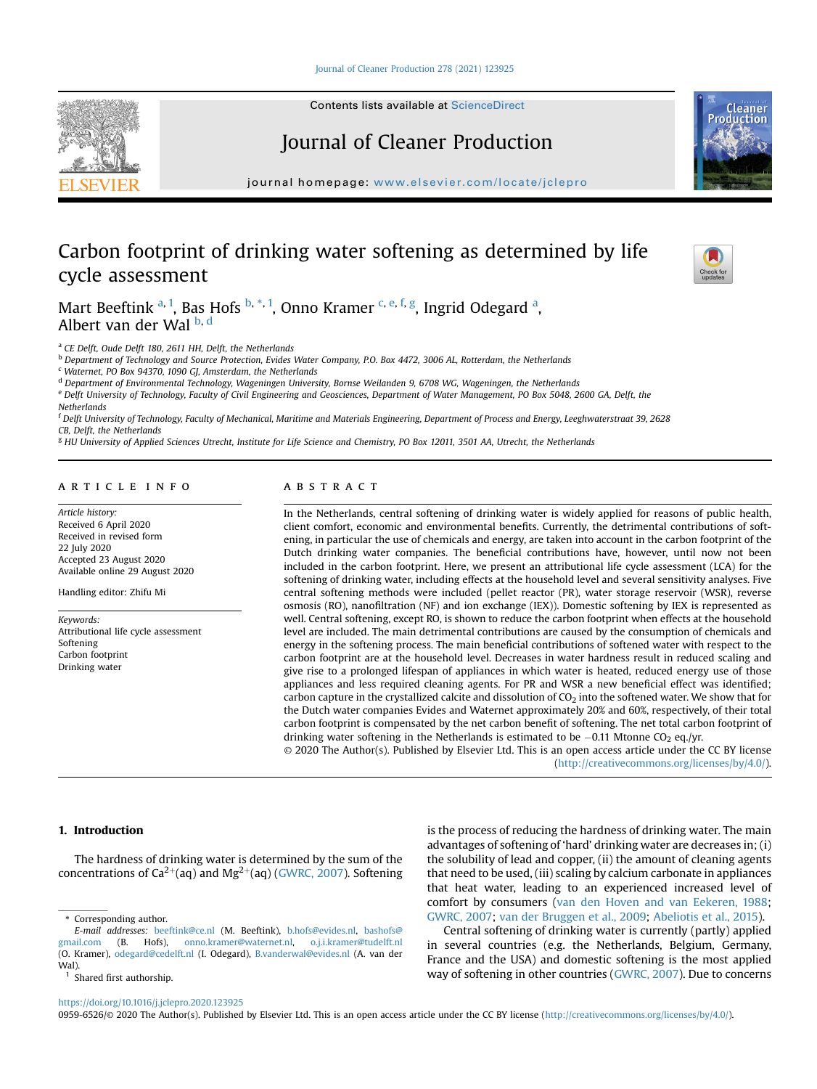[Journal of Cleaner Production 278 \(2021\) 123925](https://doi.org/10.1016/j.jclepro.2020.123925)



Contents lists available at ScienceDirect

# Journal of Cleaner Production

journal homepage: [www.elsevier.com/locate/jclepro](http://www.elsevier.com/locate/jclepro)

# Carbon footprint of drinking water softening as determined by life cycle assessment



Production

M[a](#page-0-0)rt Beeftink <sup>a, [1](#page-0-1)</sup>, Bas Hofs <sup>[b](#page-0-2), [\\*](#page-0-3), 1</sup>, Onno Kramer <sup>[c,](#page-0-4) [e,](#page-0-5) [f,](#page-0-6) [g](#page-0-7)</sup>, Ingrid Odegard <sup>a</sup>, Al[b](#page-0-2)ert van [d](#page-0-8)er Wal b, d

<span id="page-0-0"></span>a CE Delft, Oude Delft 180, 2611 HH, Delft, the Netherlands

<span id="page-0-2"></span><sup>b</sup> Department of Technology and Source Protection, Evides Water Company, P.O. Box 4472, 3006 AL, Rotterdam, the Netherlands

<span id="page-0-4"></span><sup>c</sup> Waternet, PO Box 94370, 1090 GJ, Amsterdam, the Netherlands

<span id="page-0-8"></span><sup>d</sup> Department of Environmental Technology, Wageningen University, Bornse Weilanden 9, 6708 WG, Wageningen, the Netherlands

<span id="page-0-5"></span><sup>e</sup> Delft University of Technology, Faculty of Civil Engineering and Geosciences, Department of Water Management, PO Box 5048, 2600 GA, Delft, the **Netherlands** 

<span id="page-0-6"></span><sup>f</sup> Delft University of Technology, Faculty of Mechanical, Maritime and Materials Engineering, Department of Process and Energy, Leeghwaterstraat 39, 2628 CB, Delft, the Netherlands

<span id="page-0-7"></span><sup>g</sup> HU University of Applied Sciences Utrecht, Institute for Life Science and Chemistry, PO Box 12011, 3501 AA, Utrecht, the Netherlands

# article info

Article history: Received 6 April 2020 Received in revised form 22 July 2020 Accepted 23 August 2020 Available online 29 August 2020

Handling editor: Zhifu Mi

Keywords: Attributional life cycle assessment Softening Carbon footnrint Drinking water

# ABSTRACT

In the Netherlands, central softening of drinking water is widely applied for reasons of public health, client comfort, economic and environmental benefits. Currently, the detrimental contributions of softening, in particular the use of chemicals and energy, are taken into account in the carbon footprint of the Dutch drinking water companies. The beneficial contributions have, however, until now not been included in the carbon footprint. Here, we present an attributional life cycle assessment (LCA) for the softening of drinking water, including effects at the household level and several sensitivity analyses. Five central softening methods were included (pellet reactor (PR), water storage reservoir (WSR), reverse osmosis (RO), nanofiltration (NF) and ion exchange (IEX)). Domestic softening by IEX is represented as well. Central softening, except RO, is shown to reduce the carbon footprint when effects at the household level are included. The main detrimental contributions are caused by the consumption of chemicals and energy in the softening process. The main beneficial contributions of softened water with respect to the carbon footprint are at the household level. Decreases in water hardness result in reduced scaling and give rise to a prolonged lifespan of appliances in which water is heated, reduced energy use of those appliances and less required cleaning agents. For PR and WSR a new beneficial effect was identified; carbon capture in the crystallized calcite and dissolution of  $CO<sub>2</sub>$  into the softened water. We show that for the Dutch water companies Evides and Waternet approximately 20% and 60%, respectively, of their total carbon footprint is compensated by the net carbon benefit of softening. The net total carbon footprint of drinking water softening in the Netherlands is estimated to be  $-0.11$  Mtonne CO<sub>2</sub> eq./yr. © 2020 The Author(s). Published by Elsevier Ltd. This is an open access article under the CC BY license

[\(http://creativecommons.org/licenses/by/4.0/](http://creativecommons.org/licenses/by/4.0/)).

## 1. Introduction

The hardness of drinking water is determined by the sum of the concentrations of  $Ca^{2+}(aq)$  and  $Mg^{2+}(aq)$  [\(GWRC, 2007](#page-8-0)). Softening

<span id="page-0-3"></span>Corresponding author.

<span id="page-0-1"></span>Shared first authorship.

is the process of reducing the hardness of drinking water. The main advantages of softening of 'hard' drinking water are decreases in; (i) the solubility of lead and copper, (ii) the amount of cleaning agents that need to be used, (iii) scaling by calcium carbonate in appliances that heat water, leading to an experienced increased level of comfort by consumers [\(van den Hoven and van Eekeren, 1988;](#page-8-1) [GWRC, 2007;](#page-8-0) [van der Bruggen et al., 2009](#page-8-2); [Abeliotis et al., 2015\)](#page-8-3).

Central softening of drinking water is currently (partly) applied in several countries (e.g. the Netherlands, Belgium, Germany, France and the USA) and domestic softening is the most applied way of softening in other countries ([GWRC, 2007\)](#page-8-0). Due to concerns

<https://doi.org/10.1016/j.jclepro.2020.123925>

0959-6526/© 2020 The Author(s). Published by Elsevier Ltd. This is an open access article under the CC BY license (<http://creativecommons.org/licenses/by/4.0/>).

E-mail addresses: [beeftink@ce.nl](mailto:beeftink@ce.nl) (M. Beeftink), [b.hofs@evides.nl](mailto:b.hofs@evides.nl), [bashofs@](mailto:bashofs@gmail.com) [gmail.com](mailto:bashofs@gmail.com) (B. Hofs), [onno.kramer@waternet.nl](mailto:onno.kramer@waternet.nl), [o.j.i.kramer@tudelft.nl](mailto:o.j.i.kramer@tudelft.nl) (O. Kramer), [odegard@cedelft.nl](mailto:odegard@cedelft.nl) (I. Odegard), [B.vanderwal@evides.nl](mailto:B.vanderwal@evides.nl) (A. van der Wal).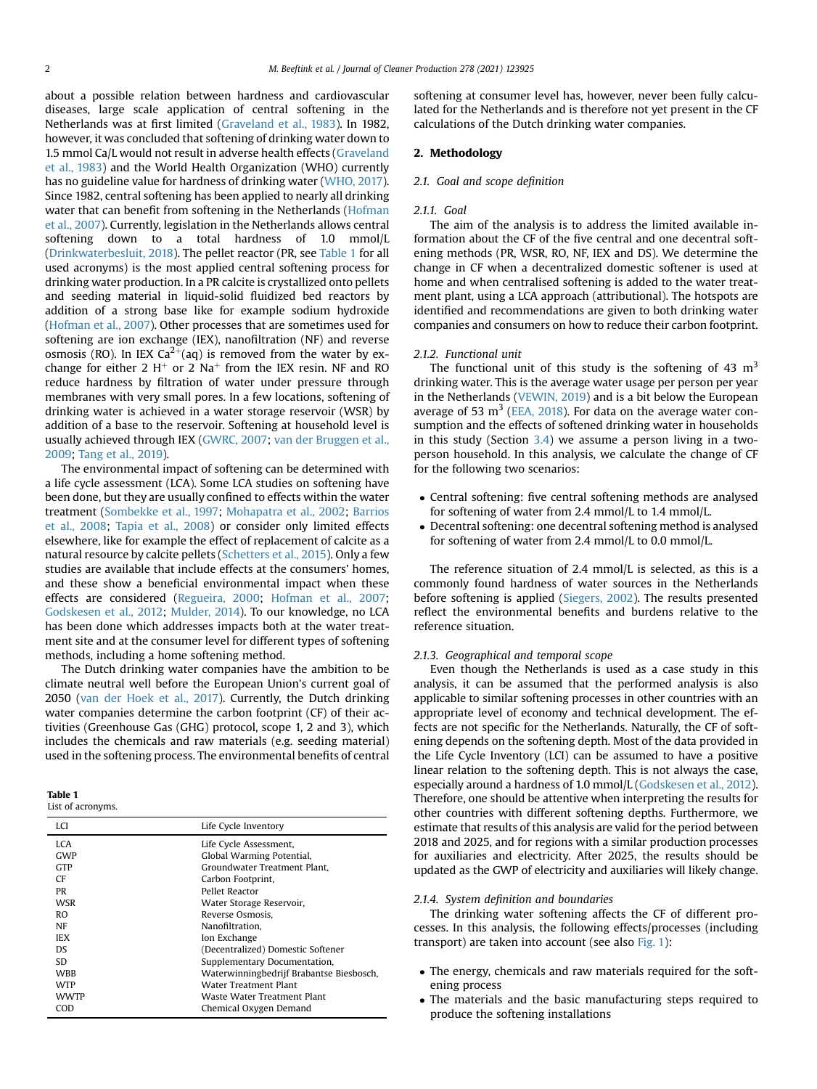about a possible relation between hardness and cardiovascular diseases, large scale application of central softening in the Netherlands was at first limited ([Graveland et al., 1983\)](#page-8-4). In 1982, however, it was concluded that softening of drinking water down to 1.5 mmol Ca/L would not result in adverse health effects [\(Graveland](#page-8-4) [et al., 1983](#page-8-4)) and the World Health Organization (WHO) currently has no guideline value for hardness of drinking water ([WHO, 2017\)](#page-9-0). Since 1982, central softening has been applied to nearly all drinking water that can benefit from softening in the Netherlands ([Hofman](#page-8-5) [et al., 2007](#page-8-5)). Currently, legislation in the Netherlands allows central softening down to a total hardness of 1.0 mmol/L ([Drinkwaterbesluit, 2018](#page-8-6)). The pellet reactor (PR, see [Table 1](#page-1-0) for all used acronyms) is the most applied central softening process for drinking water production. In a PR calcite is crystallized onto pellets and seeding material in liquid-solid fluidized bed reactors by addition of a strong base like for example sodium hydroxide ([Hofman et al., 2007](#page-8-5)). Other processes that are sometimes used for softening are ion exchange (IEX), nanofiltration (NF) and reverse osmosis (RO). In IEX  $Ca^{2+}(aq)$  is removed from the water by exchange for either 2  $H^+$  or 2 Na<sup>+</sup> from the IEX resin. NF and RO reduce hardness by filtration of water under pressure through membranes with very small pores. In a few locations, softening of drinking water is achieved in a water storage reservoir (WSR) by addition of a base to the reservoir. Softening at household level is usually achieved through IEX ([GWRC, 2007;](#page-8-0) [van der Bruggen et al.,](#page-8-2) [2009](#page-8-2); [Tang et al., 2019\)](#page-9-1).

The environmental impact of softening can be determined with a life cycle assessment (LCA). Some LCA studies on softening have been done, but they are usually confined to effects within the water treatment [\(Sombekke et al., 1997](#page-9-2); [Mohapatra et al., 2002;](#page-8-7) [Barrios](#page-8-8) [et al., 2008;](#page-8-8) [Tapia et al., 2008](#page-9-3)) or consider only limited effects elsewhere, like for example the effect of replacement of calcite as a natural resource by calcite pellets ([Schetters et al., 2015\)](#page-8-9). Only a few studies are available that include effects at the consumers' homes, and these show a beneficial environmental impact when these effects are considered ([Regueira, 2000](#page-8-10); [Hofman et al., 2007](#page-8-5); [Godskesen et al., 2012;](#page-8-11) [Mulder, 2014\)](#page-8-12). To our knowledge, no LCA has been done which addresses impacts both at the water treatment site and at the consumer level for different types of softening methods, including a home softening method.

The Dutch drinking water companies have the ambition to be climate neutral well before the European Union's current goal of 2050 ([van der Hoek et al., 2017](#page-8-13)). Currently, the Dutch drinking water companies determine the carbon footprint (CF) of their activities (Greenhouse Gas (GHG) protocol, scope 1, 2 and 3), which includes the chemicals and raw materials (e.g. seeding material) used in the softening process. The environmental benefits of central

<span id="page-1-0"></span>

| n<br>H<br>ı<br>ı |  |
|------------------|--|
|------------------|--|

List of acronyms.

| LCI         | Life Cycle Inventory                     |
|-------------|------------------------------------------|
| LCA.        | Life Cycle Assessment,                   |
| GWP         | Global Warming Potential,                |
| <b>GTP</b>  | Groundwater Treatment Plant.             |
| CF          | Carbon Footprint,                        |
| PR          | Pellet Reactor                           |
| WSR         | Water Storage Reservoir,                 |
| RO.         | Reverse Osmosis.                         |
| NF          | Nanofiltration.                          |
| <b>IEX</b>  | Ion Exchange                             |
| DS.         | (Decentralized) Domestic Softener        |
| SD.         | Supplementary Documentation,             |
| <b>WRR</b>  | Waterwinningbedrijf Brabantse Biesbosch, |
| <b>WTP</b>  | Water Treatment Plant                    |
| <b>WWTP</b> | Waste Water Treatment Plant              |
| COD         | Chemical Oxygen Demand                   |

softening at consumer level has, however, never been fully calculated for the Netherlands and is therefore not yet present in the CF calculations of the Dutch drinking water companies.

# 2. Methodology

#### 2.1. Goal and scope definition

#### 2.1.1. Goal

The aim of the analysis is to address the limited available information about the CF of the five central and one decentral softening methods (PR, WSR, RO, NF, IEX and DS). We determine the change in CF when a decentralized domestic softener is used at home and when centralised softening is added to the water treatment plant, using a LCA approach (attributional). The hotspots are identified and recommendations are given to both drinking water companies and consumers on how to reduce their carbon footprint.

#### <span id="page-1-1"></span>2.1.2. Functional unit

The functional unit of this study is the softening of 43  $m<sup>3</sup>$ drinking water. This is the average water usage per person per year in the Netherlands ([VEWIN, 2019](#page-9-4)) and is a bit below the European average of 53  $m<sup>3</sup>$  ([EEA, 2018\)](#page-8-14). For data on the average water consumption and the effects of softened drinking water in households in this study (Section [3.4\)](#page-4-0) we assume a person living in a twoperson household. In this analysis, we calculate the change of CF for the following two scenarios:

- Central softening: five central softening methods are analysed for softening of water from 2.4 mmol/L to 1.4 mmol/L.
- Decentral softening: one decentral softening method is analysed for softening of water from 2.4 mmol/L to 0.0 mmol/L.

The reference situation of 2.4 mmol/L is selected, as this is a commonly found hardness of water sources in the Netherlands before softening is applied ([Siegers, 2002\)](#page-8-15). The results presented reflect the environmental benefits and burdens relative to the reference situation.

#### 2.1.3. Geographical and temporal scope

Even though the Netherlands is used as a case study in this analysis, it can be assumed that the performed analysis is also applicable to similar softening processes in other countries with an appropriate level of economy and technical development. The effects are not specific for the Netherlands. Naturally, the CF of softening depends on the softening depth. Most of the data provided in the Life Cycle Inventory (LCI) can be assumed to have a positive linear relation to the softening depth. This is not always the case, especially around a hardness of 1.0 mmol/L [\(Godskesen et al., 2012\)](#page-8-11). Therefore, one should be attentive when interpreting the results for other countries with different softening depths. Furthermore, we estimate that results of this analysis are valid for the period between 2018 and 2025, and for regions with a similar production processes for auxiliaries and electricity. After 2025, the results should be updated as the GWP of electricity and auxiliaries will likely change.

#### 2.1.4. System definition and boundaries

The drinking water softening affects the CF of different processes. In this analysis, the following effects/processes (including transport) are taken into account (see also [Fig. 1\)](#page-2-0):

- The energy, chemicals and raw materials required for the softening process
- The materials and the basic manufacturing steps required to produce the softening installations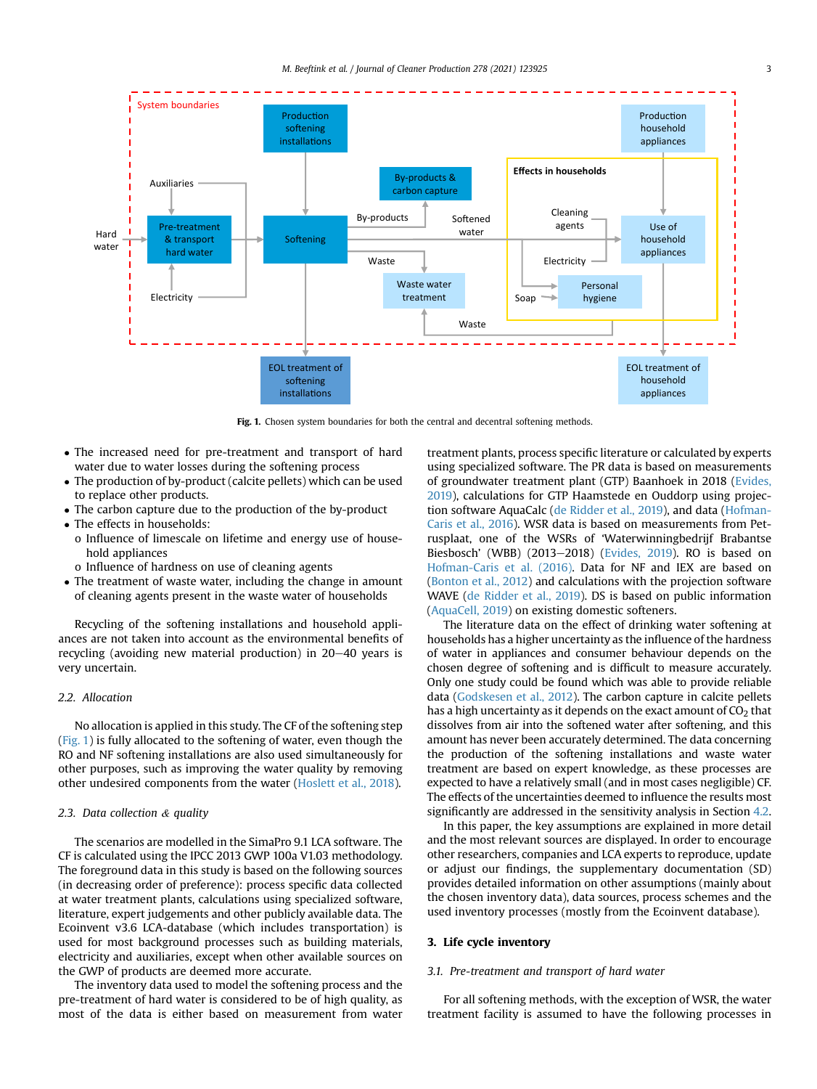<span id="page-2-0"></span>

Fig. 1. Chosen system boundaries for both the central and decentral softening methods.

- The increased need for pre-treatment and transport of hard water due to water losses during the softening process
- The production of by-product (calcite pellets) which can be used to replace other products.
- The carbon capture due to the production of the by-product
- The effects in households:
- o Influence of limescale on lifetime and energy use of household appliances
- o Influence of hardness on use of cleaning agents
- The treatment of waste water, including the change in amount of cleaning agents present in the waste water of households

Recycling of the softening installations and household appliances are not taken into account as the environmental benefits of recycling (avoiding new material production) in  $20-40$  years is very uncertain.

## <span id="page-2-2"></span>2.2. Allocation

No allocation is applied in this study. The CF of the softening step ([Fig. 1\)](#page-2-0) is fully allocated to the softening of water, even though the RO and NF softening installations are also used simultaneously for other purposes, such as improving the water quality by removing other undesired components from the water [\(Hoslett et al., 2018\)](#page-8-16).

## <span id="page-2-3"></span>2.3. Data collection & quality

The scenarios are modelled in the SimaPro 9.1 LCA software. The CF is calculated using the IPCC 2013 GWP 100a V1.03 methodology. The foreground data in this study is based on the following sources (in decreasing order of preference): process specific data collected at water treatment plants, calculations using specialized software, literature, expert judgements and other publicly available data. The Ecoinvent v3.6 LCA-database (which includes transportation) is used for most background processes such as building materials, electricity and auxiliaries, except when other available sources on the GWP of products are deemed more accurate.

The inventory data used to model the softening process and the pre-treatment of hard water is considered to be of high quality, as most of the data is either based on measurement from water treatment plants, process specific literature or calculated by experts using specialized software. The PR data is based on measurements of groundwater treatment plant (GTP) Baanhoek in 2018 [\(Evides,](#page-8-17) [2019\)](#page-8-17), calculations for GTP Haamstede en Ouddorp using projection software AquaCalc [\(de Ridder et al., 2019](#page-8-18)), and data ([Hofman-](#page-8-19)[Caris et al., 2016](#page-8-19)). WSR data is based on measurements from Petrusplaat, one of the WSRs of 'Waterwinningbedrijf Brabantse Biesbosch' (WBB) (2013-2018) ([Evides, 2019](#page-8-17)). RO is based on [Hofman-Caris et al. \(2016\)](#page-8-19). Data for NF and IEX are based on ([Bonton et al., 2012](#page-8-20)) and calculations with the projection software WAVE ([de Ridder et al., 2019](#page-8-18)). DS is based on public information ([AquaCell, 2019](#page-8-21)) on existing domestic softeners.

The literature data on the effect of drinking water softening at households has a higher uncertainty as the influence of the hardness of water in appliances and consumer behaviour depends on the chosen degree of softening and is difficult to measure accurately. Only one study could be found which was able to provide reliable data [\(Godskesen et al., 2012\)](#page-8-11). The carbon capture in calcite pellets has a high uncertainty as it depends on the exact amount of  $CO<sub>2</sub>$  that dissolves from air into the softened water after softening, and this amount has never been accurately determined. The data concerning the production of the softening installations and waste water treatment are based on expert knowledge, as these processes are expected to have a relatively small (and in most cases negligible) CF. The effects of the uncertainties deemed to influence the results most significantly are addressed in the sensitivity analysis in Section [4.2.](#page-6-0)

In this paper, the key assumptions are explained in more detail and the most relevant sources are displayed. In order to encourage other researchers, companies and LCA experts to reproduce, update or adjust our findings, the supplementary documentation (SD) provides detailed information on other assumptions (mainly about the chosen inventory data), data sources, process schemes and the used inventory processes (mostly from the Ecoinvent database).

## 3. Life cycle inventory

#### <span id="page-2-1"></span>3.1. Pre-treatment and transport of hard water

For all softening methods, with the exception of WSR, the water treatment facility is assumed to have the following processes in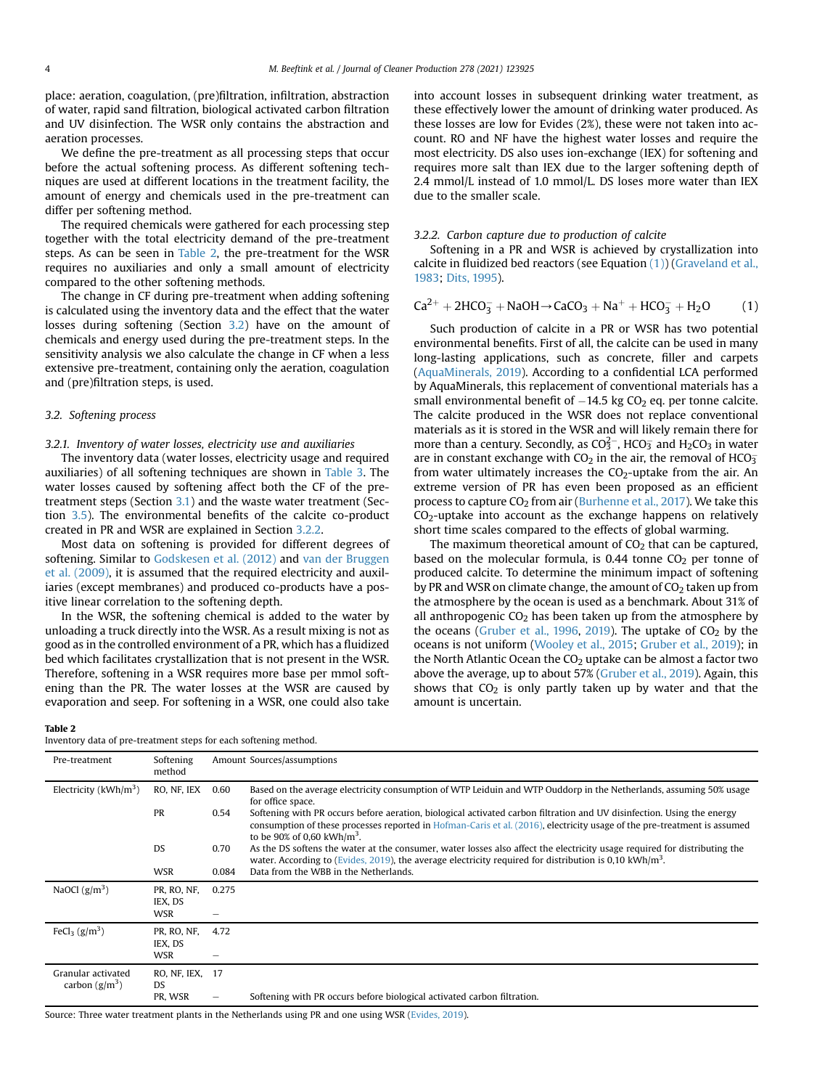place: aeration, coagulation, (pre)filtration, infiltration, abstraction of water, rapid sand filtration, biological activated carbon filtration and UV disinfection. The WSR only contains the abstraction and aeration processes.

We define the pre-treatment as all processing steps that occur before the actual softening process. As different softening techniques are used at different locations in the treatment facility, the amount of energy and chemicals used in the pre-treatment can differ per softening method.

The required chemicals were gathered for each processing step together with the total electricity demand of the pre-treatment steps. As can be seen in [Table 2](#page-3-0), the pre-treatment for the WSR requires no auxiliaries and only a small amount of electricity compared to the other softening methods.

The change in CF during pre-treatment when adding softening is calculated using the inventory data and the effect that the water losses during softening (Section [3.2](#page-3-1)) have on the amount of chemicals and energy used during the pre-treatment steps. In the sensitivity analysis we also calculate the change in CF when a less extensive pre-treatment, containing only the aeration, coagulation and (pre)filtration steps, is used.

## <span id="page-3-1"></span>3.2. Softening process

## 3.2.1. Inventory of water losses, electricity use and auxiliaries

The inventory data (water losses, electricity usage and required auxiliaries) of all softening techniques are shown in [Table 3.](#page-4-1) The water losses caused by softening affect both the CF of the pretreatment steps (Section [3.1\)](#page-2-1) and the waste water treatment (Section [3.5\)](#page-5-0). The environmental benefits of the calcite co-product created in PR and WSR are explained in Section [3.2.2](#page-3-2).

Most data on softening is provided for different degrees of softening. Similar to [Godskesen et al. \(2012\)](#page-8-11) and [van der Bruggen](#page-8-2) [et al. \(2009\)](#page-8-2), it is assumed that the required electricity and auxiliaries (except membranes) and produced co-products have a positive linear correlation to the softening depth.

In the WSR, the softening chemical is added to the water by unloading a truck directly into the WSR. As a result mixing is not as good as in the controlled environment of a PR, which has a fluidized bed which facilitates crystallization that is not present in the WSR. Therefore, softening in a WSR requires more base per mmol softening than the PR. The water losses at the WSR are caused by evaporation and seep. For softening in a WSR, one could also take

#### <span id="page-3-0"></span>Table 2

Inventory data of pre-treatment steps for each softening method.

into account losses in subsequent drinking water treatment, as these effectively lower the amount of drinking water produced. As these losses are low for Evides (2%), these were not taken into account. RO and NF have the highest water losses and require the most electricity. DS also uses ion-exchange (IEX) for softening and requires more salt than IEX due to the larger softening depth of 2.4 mmol/L instead of 1.0 mmol/L. DS loses more water than IEX due to the smaller scale.

### <span id="page-3-2"></span>3.2.2. Carbon capture due to production of calcite

Softening in a PR and WSR is achieved by crystallization into calcite in fluidized bed reactors (see Equation [\(1\)\)](#page-3-3) ([Graveland et al.,](#page-8-4) [1983](#page-8-4); [Dits, 1995\)](#page-8-22).

<span id="page-3-3"></span>
$$
Ca^{2+} + 2HCO_3^- + NaOH \rightarrow CaCO_3 + Na^+ + HCO_3^- + H_2O
$$
 (1)

Such production of calcite in a PR or WSR has two potential environmental benefits. First of all, the calcite can be used in many long-lasting applications, such as concrete, filler and carpets ([AquaMinerals, 2019](#page-8-23)). According to a confidential LCA performed by AquaMinerals, this replacement of conventional materials has a small environmental benefit of  $-14.5$  kg CO<sub>2</sub> eq. per tonne calcite. The calcite produced in the WSR does not replace conventional materials as it is stored in the WSR and will likely remain there for more than a century. Secondly, as CO $3^{\circ}$ , HCO $\overline{3}$  and H<sub>2</sub>CO<sub>3</sub> in water are in constant exchange with  $CO<sub>2</sub>$  in the air, the removal of HCO $_3^$ from water ultimately increases the  $CO<sub>2</sub>$ -uptake from the air. An extreme version of PR has even been proposed as an efficient process to capture  $CO<sub>2</sub>$  from air [\(Burhenne et al., 2017\)](#page-8-24). We take this CO<sub>2</sub>-uptake into account as the exchange happens on relatively short time scales compared to the effects of global warming.

The maximum theoretical amount of  $CO<sub>2</sub>$  that can be captured, based on the molecular formula, is  $0.44$  tonne  $CO<sub>2</sub>$  per tonne of produced calcite. To determine the minimum impact of softening by PR and WSR on climate change, the amount of  $CO<sub>2</sub>$  taken up from the atmosphere by the ocean is used as a benchmark. About 31% of all anthropogenic  $CO<sub>2</sub>$  has been taken up from the atmosphere by the oceans ([Gruber et al., 1996,](#page-8-25) [2019](#page-8-26)). The uptake of  $CO<sub>2</sub>$  by the oceans is not uniform ([Wooley et al., 2015;](#page-9-5) [Gruber et al., 2019](#page-8-26)); in the North Atlantic Ocean the  $CO<sub>2</sub>$  uptake can be almost a factor two above the average, up to about 57% ([Gruber et al., 2019](#page-8-26)). Again, this shows that  $CO<sub>2</sub>$  is only partly taken up by water and that the amount is uncertain.

| Pre-treatment                          | Softening<br>method           |       | Amount Sources/assumptions                                                                                                                                                                                                                                                                   |
|----------------------------------------|-------------------------------|-------|----------------------------------------------------------------------------------------------------------------------------------------------------------------------------------------------------------------------------------------------------------------------------------------------|
| Electricity ( $kWh/m^3$ )              | RO, NF, IEX                   | 0.60  | Based on the average electricity consumption of WTP Leiduin and WTP Ouddorp in the Netherlands, assuming 50% usage<br>for office space.                                                                                                                                                      |
|                                        | PR                            | 0.54  | Softening with PR occurs before aeration, biological activated carbon filtration and UV disinfection. Using the energy<br>consumption of these processes reported in Hofman-Caris et al. (2016), electricity usage of the pre-treatment is assumed<br>to be 90% of 0,60 kWh/m <sup>3</sup> . |
|                                        | <b>DS</b>                     | 0.70  | As the DS softens the water at the consumer, water losses also affect the electricity usage required for distributing the<br>water. According to (Evides, 2019), the average electricity required for distribution is 0.10 kWh/m <sup>3</sup> .                                              |
|                                        | <b>WSR</b>                    | 0.084 | Data from the WBB in the Netherlands.                                                                                                                                                                                                                                                        |
| NaOCl $(g/m^3)$                        | PR, RO, NF,<br>IEX, DS        | 0.275 |                                                                                                                                                                                                                                                                                              |
|                                        | WSR                           | -     |                                                                                                                                                                                                                                                                                              |
| FeCl <sub>3</sub> $(g/m^3)$            | PR, RO, NF,<br>IEX, DS<br>WSR | 4.72  |                                                                                                                                                                                                                                                                                              |
| Granular activated<br>carbon $(g/m^3)$ | RO, NF, IEX, 17<br>DS.        |       |                                                                                                                                                                                                                                                                                              |
|                                        | PR, WSR                       | -     | Softening with PR occurs before biological activated carbon filtration.                                                                                                                                                                                                                      |

Source: Three water treatment plants in the Netherlands using PR and one using WSR ([Evides, 2019\)](#page-8-17).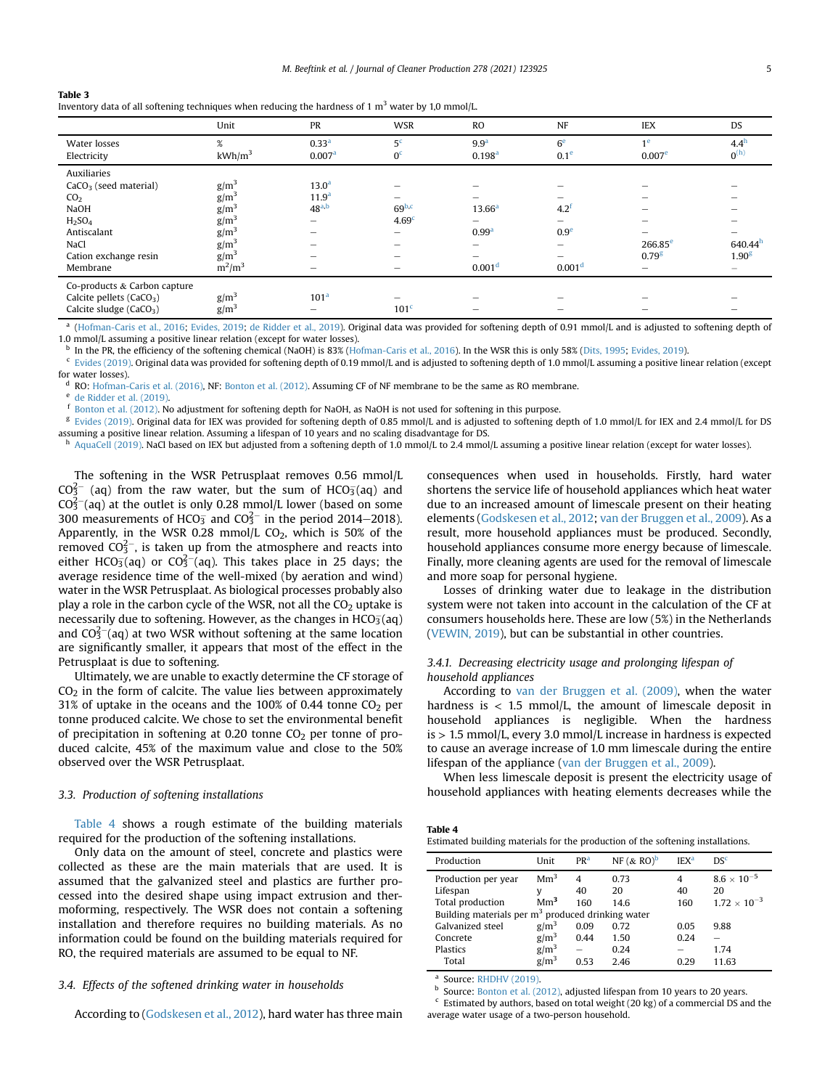<span id="page-4-1"></span>

| Table 3                                                                                             |
|-----------------------------------------------------------------------------------------------------|
| Inventory data of all softening techniques when reducing the hardness of 1 $m3$ water by 1,0 mmol/L |

|                                      | Unit               | PR                       | <b>WSR</b>        | <b>RO</b>          | <b>NF</b>                | <b>IEX</b>               | DS                       |
|--------------------------------------|--------------------|--------------------------|-------------------|--------------------|--------------------------|--------------------------|--------------------------|
| Water losses                         | $\%$               | 0.33 <sup>a</sup>        | 5 <sup>c</sup>    | 9.9 <sup>a</sup>   | 6 <sup>e</sup>           | 1 <sup>e</sup>           | 4.4 <sup>h</sup>         |
| Electricity                          | kWh/m <sup>3</sup> | 0.007 <sup>a</sup>       | 0 <sup>c</sup>    | 0.198 <sup>a</sup> | 0.1 <sup>e</sup>         | 0.007 <sup>e</sup>       | $0^{(h)}$                |
| <b>Auxiliaries</b>                   |                    |                          |                   |                    |                          |                          |                          |
| $CaCO3$ (seed material)              | $g/m^3$            | 13.0 <sup>a</sup>        |                   |                    |                          |                          |                          |
| CO <sub>2</sub>                      | $g/m^3$            | 11.9 <sup>a</sup>        |                   |                    |                          |                          |                          |
| <b>NaOH</b>                          | $g/m^3$            | 48 <sup>a,b</sup>        | 69 <sup>b,c</sup> | $13.66^{\rm a}$    | $4.2^{\circ}$            | $\overline{\phantom{a}}$ |                          |
| H <sub>2</sub> SO <sub>4</sub>       | $g/m^3$            | $\overline{\phantom{0}}$ | 4.69 <sup>c</sup> | -                  | $\overline{\phantom{0}}$ |                          |                          |
| Antiscalant                          | $g/m^3$            | -                        | -                 | 0.99 <sup>a</sup>  | 0.9 <sup>e</sup>         |                          |                          |
| NaCl                                 | $g/m^3$            | -                        | -                 | -                  | $\qquad \qquad$          | $266.85^{\circ}$         | 640.44 <sup>h</sup>      |
| Cation exchange resin                | $g/m^3$            |                          | -                 |                    | -                        | 0.79 <sup>g</sup>        | 1.90 <sup>g</sup>        |
| Membrane                             | $m^2/m^3$          | -                        | -                 | 0.001 <sup>d</sup> | 0.001 <sup>d</sup>       | $\overline{\phantom{m}}$ | $\overline{\phantom{0}}$ |
| Co-products & Carbon capture         |                    |                          |                   |                    |                          |                          |                          |
| Calcite pellets (CaCO <sub>3</sub> ) | $g/m^3$            | 101 <sup>a</sup>         |                   |                    |                          |                          |                          |
| Calcite sludge (CaCO <sub>3</sub> )  | $g/m^3$            | -                        | 101 <sup>c</sup>  | -                  | $\overline{\phantom{a}}$ |                          |                          |

<span id="page-4-3"></span><sup>a</sup> ([Hofman-Caris et al., 2016;](#page-8-19) [Evides, 2019;](#page-8-17) [de Ridder et al., 2019\)](#page-8-18). Original data was provided for softening depth of 0.91 mmol/L and is adjusted to softening depth of 1.0 mmol/L assuming a positive linear relation (except for water losses).

<span id="page-4-7"></span><sup>b</sup> In the PR, the efficiency of the softening chemical (NaOH) is 83% ([Hofman-Caris et al., 2016\)](#page-8-19). In the WSR this is only 58% [\(Dits, 1995](#page-8-22); [Evides, 2019\)](#page-8-17).

<span id="page-4-4"></span> $c$  [Evides \(2019\).](#page-8-17) Original data was provided for softening depth of 0.19 mmol/L and is adjusted to softening depth of 1.0 mmol/L assuming a positive linear relation (except for water losses).

<span id="page-4-10"></span>RO: [Hofman-Caris et al. \(2016\),](#page-8-19) NF: [Bonton et al. \(2012\)](#page-8-20). Assuming CF of NF membrane to be the same as RO membrane.

<span id="page-4-5"></span> $e$  [de Ridder et al. \(2019\).](#page-8-18)<br> $f$  Bentan et al. (2012).

<span id="page-4-8"></span><sup>f</sup> [Bonton et al. \(2012\).](#page-8-20) No adjustment for softening depth for NaOH, as NaOH is not used for softening in this purpose.

<span id="page-4-9"></span>[Evides \(2019\)](#page-8-17). Original data for IEX was provided for softening depth of 0.85 mmol/L and is adjusted to softening depth of 1.0 mmol/L for IEX and 2.4 mmol/L for DS assuming a positive linear relation. Assuming a lifespan of 10 years and no scaling disadvantage for DS.

<span id="page-4-6"></span>[AquaCell \(2019\)](#page-8-21). NaCl based on IEX but adjusted from a softening depth of 1.0 mmol/L to 2.4 mmol/L assuming a positive linear relation (except for water losses).

The softening in the WSR Petrusplaat removes 0.56 mmol/L  $CO<sub>3</sub><sup>2</sup>$  (aq) from the raw water, but the sum of HCO<sub>3</sub>(aq) and  $CO<sub>3</sub><sup>2</sup>$  (aq) at the outlet is only 0.28 mmol/L lower (based on some 300 measurements of HCO<sub>3</sub> and CO<sub>3</sub><sup>-</sup> in the period 2014–2018). Apparently, in the WSR 0.28 mmol/L  $CO<sub>2</sub>$ , which is 50% of the removed  $CO_3^{2-}$ , is taken up from the atmosphere and reacts into either HCO $_3^-$ (aq) or CO $_3^{2-}$ (aq). This takes place in 25 days; the average residence time of the well-mixed (by aeration and wind) water in the WSR Petrusplaat. As biological processes probably also play a role in the carbon cycle of the WSR, not all the  $CO<sub>2</sub>$  uptake is necessarily due to softening. However, as the changes in HCO $_{3}^{-}$ (aq) and CO $3^2$  (aq) at two WSR without softening at the same location are significantly smaller, it appears that most of the effect in the Petrusplaat is due to softening.

Ultimately, we are unable to exactly determine the CF storage of  $CO<sub>2</sub>$  in the form of calcite. The value lies between approximately 31% of uptake in the oceans and the 100% of 0.44 tonne  $CO<sub>2</sub>$  per tonne produced calcite. We chose to set the environmental benefit of precipitation in softening at 0.20 tonne  $CO<sub>2</sub>$  per tonne of produced calcite, 45% of the maximum value and close to the 50% observed over the WSR Petrusplaat.

#### 3.3. Production of softening installations

[Table 4](#page-4-2) shows a rough estimate of the building materials required for the production of the softening installations.

Only data on the amount of steel, concrete and plastics were collected as these are the main materials that are used. It is assumed that the galvanized steel and plastics are further processed into the desired shape using impact extrusion and thermoforming, respectively. The WSR does not contain a softening installation and therefore requires no building materials. As no information could be found on the building materials required for RO, the required materials are assumed to be equal to NF.

## <span id="page-4-0"></span>3.4. Effects of the softened drinking water in households

According to [\(Godskesen et al., 2012\)](#page-8-11), hard water has three main

consequences when used in households. Firstly, hard water shortens the service life of household appliances which heat water due to an increased amount of limescale present on their heating elements ([Godskesen et al., 2012](#page-8-11); [van der Bruggen et al., 2009\)](#page-8-2). As a result, more household appliances must be produced. Secondly, household appliances consume more energy because of limescale. Finally, more cleaning agents are used for the removal of limescale and more soap for personal hygiene.

Losses of drinking water due to leakage in the distribution system were not taken into account in the calculation of the CF at consumers households here. These are low (5%) in the Netherlands ([VEWIN, 2019](#page-9-4)), but can be substantial in other countries.

# <span id="page-4-14"></span>3.4.1. Decreasing electricity usage and prolonging lifespan of household appliances

According to [van der Bruggen et al. \(2009\),](#page-8-2) when the water hardness is  $<$  1.5 mmol/L, the amount of limescale deposit in household appliances is negligible. When the hardness is > 1.5 mmol/L, every 3.0 mmol/L increase in hardness is expected to cause an average increase of 1.0 mm limescale during the entire lifespan of the appliance [\(van der Bruggen et al., 2009](#page-8-2)).

When less limescale deposit is present the electricity usage of household appliances with heating elements decreases while the

|  |  |  |  | Estimated building materials for the production of the softening installations.                                 |  |
|--|--|--|--|-----------------------------------------------------------------------------------------------------------------|--|
|  |  |  |  | the most contract would be a more than the more and the second the second that the second the second the second |  |

| Production                                          | Unit             | <b>PR<sup>a</sup></b> | NF $(x \text{RO})^b$ | IEX <sup>a</sup> | DS <sup>c</sup>       |  |  |  |
|-----------------------------------------------------|------------------|-----------------------|----------------------|------------------|-----------------------|--|--|--|
| Production per year                                 | Mm <sup>3</sup>  | 4                     | 0.73                 | 4                | $8.6 \times 10^{-5}$  |  |  |  |
| Lifespan                                            |                  | 40                    | 20                   | 40               | 20                    |  |  |  |
| Total production                                    | Mm <sup>3</sup>  | 160                   | 14.6                 | 160              | $1.72 \times 10^{-3}$ |  |  |  |
| Building materials per $m3$ produced drinking water |                  |                       |                      |                  |                       |  |  |  |
| Galvanized steel                                    | g/m <sup>3</sup> | 0.09                  | 0.72                 | 0.05             | 9.88                  |  |  |  |
| Concrete                                            | $g/m^3$          | 0.44                  | 1.50                 | 0.24             |                       |  |  |  |
| <b>Plastics</b>                                     | $g/m^3$          |                       | 0.24                 |                  | 1.74                  |  |  |  |
| Total                                               | $g/m^3$          | 0.53                  | 2.46                 | 0.29             | 11.63                 |  |  |  |
|                                                     |                  |                       |                      |                  |                       |  |  |  |

<span id="page-4-11"></span><sup>a</sup> Source: [RHDHV \(2019\)](#page-8-27).

<span id="page-4-2"></span>Table 4

<span id="page-4-12"></span>b Source: [Bonton et al. \(2012\),](#page-8-20) adjusted lifespan from 10 years to 20 years.

<span id="page-4-13"></span> $\rm ^c$  Estimated by authors, based on total weight (20 kg) of a commercial DS and the average water usage of a two-person household.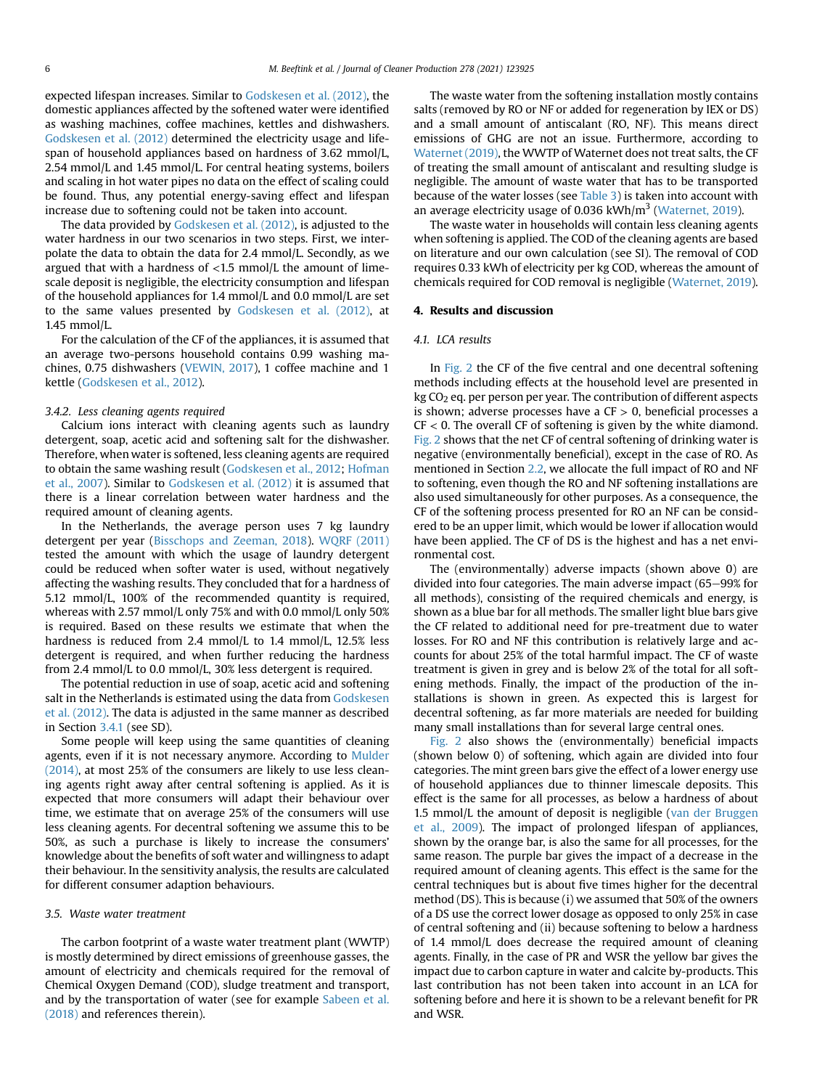expected lifespan increases. Similar to [Godskesen et al. \(2012\)](#page-8-11), the domestic appliances affected by the softened water were identified as washing machines, coffee machines, kettles and dishwashers. [Godskesen et al. \(2012\)](#page-8-11) determined the electricity usage and lifespan of household appliances based on hardness of 3.62 mmol/L, 2.54 mmol/L and 1.45 mmol/L. For central heating systems, boilers and scaling in hot water pipes no data on the effect of scaling could be found. Thus, any potential energy-saving effect and lifespan increase due to softening could not be taken into account.

The data provided by [Godskesen et al. \(2012\),](#page-8-11) is adjusted to the water hardness in our two scenarios in two steps. First, we interpolate the data to obtain the data for 2.4 mmol/L. Secondly, as we argued that with a hardness of  $<$ 1.5 mmol/L the amount of limescale deposit is negligible, the electricity consumption and lifespan of the household appliances for 1.4 mmol/L and 0.0 mmol/L are set to the same values presented by [Godskesen et al. \(2012\),](#page-8-11) at 1.45 mmol/L.

For the calculation of the CF of the appliances, it is assumed that an average two-persons household contains 0.99 washing machines, 0.75 dishwashers ([VEWIN, 2017\)](#page-9-6), 1 coffee machine and 1 kettle ([Godskesen et al., 2012](#page-8-11)).

#### 3.4.2. Less cleaning agents required

Calcium ions interact with cleaning agents such as laundry detergent, soap, acetic acid and softening salt for the dishwasher. Therefore, when water is softened, less cleaning agents are required to obtain the same washing result [\(Godskesen et al., 2012;](#page-8-11) [Hofman](#page-8-5) [et al., 2007](#page-8-5)). Similar to [Godskesen et al. \(2012\)](#page-8-11) it is assumed that there is a linear correlation between water hardness and the required amount of cleaning agents.

In the Netherlands, the average person uses 7 kg laundry detergent per year [\(Bisschops and Zeeman, 2018](#page-8-28)). [WQRF \(2011\)](#page-9-7) tested the amount with which the usage of laundry detergent could be reduced when softer water is used, without negatively affecting the washing results. They concluded that for a hardness of 5.12 mmol/L, 100% of the recommended quantity is required, whereas with 2.57 mmol/L only 75% and with 0.0 mmol/L only 50% is required. Based on these results we estimate that when the hardness is reduced from 2.4 mmol/L to 1.4 mmol/L, 12.5% less detergent is required, and when further reducing the hardness from 2.4 mmol/L to 0.0 mmol/L, 30% less detergent is required.

The potential reduction in use of soap, acetic acid and softening salt in the Netherlands is estimated using the data from [Godskesen](#page-8-11) [et al. \(2012\).](#page-8-11) The data is adjusted in the same manner as described in Section [3.4.1](#page-4-14) (see SD).

Some people will keep using the same quantities of cleaning agents, even if it is not necessary anymore. According to [Mulder](#page-8-12) [\(2014\)](#page-8-12), at most 25% of the consumers are likely to use less cleaning agents right away after central softening is applied. As it is expected that more consumers will adapt their behaviour over time, we estimate that on average 25% of the consumers will use less cleaning agents. For decentral softening we assume this to be 50%, as such a purchase is likely to increase the consumers' knowledge about the benefits of soft water and willingness to adapt their behaviour. In the sensitivity analysis, the results are calculated for different consumer adaption behaviours.

#### <span id="page-5-0"></span>3.5. Waste water treatment

The carbon footprint of a waste water treatment plant (WWTP) is mostly determined by direct emissions of greenhouse gasses, the amount of electricity and chemicals required for the removal of Chemical Oxygen Demand (COD), sludge treatment and transport, and by the transportation of water (see for example [Sabeen et al.](#page-8-29) [\(2018\)](#page-8-29) and references therein).

The waste water from the softening installation mostly contains salts (removed by RO or NF or added for regeneration by IEX or DS) and a small amount of antiscalant (RO, NF). This means direct emissions of GHG are not an issue. Furthermore, according to [Waternet \(2019\)](#page-9-8), the WWTP of Waternet does not treat salts, the CF of treating the small amount of antiscalant and resulting sludge is negligible. The amount of waste water that has to be transported because of the water losses (see [Table 3](#page-4-1)) is taken into account with an average electricity usage of 0.036 kWh/ $m<sup>3</sup>$  ([Waternet, 2019\)](#page-9-8).

The waste water in households will contain less cleaning agents when softening is applied. The COD of the cleaning agents are based on literature and our own calculation (see SI). The removal of COD requires 0.33 kWh of electricity per kg COD, whereas the amount of chemicals required for COD removal is negligible [\(Waternet, 2019\)](#page-9-8).

#### 4. Results and discussion

#### 4.1. LCA results

In [Fig. 2](#page-6-1) the CF of the five central and one decentral softening methods including effects at the household level are presented in kg CO<sub>2</sub> eq. per person per year. The contribution of different aspects is shown; adverse processes have a  $CF > 0$ , beneficial processes a  $CF < 0$ . The overall CF of softening is given by the white diamond. [Fig. 2](#page-6-1) shows that the net CF of central softening of drinking water is negative (environmentally beneficial), except in the case of RO. As mentioned in Section [2.2](#page-2-2), we allocate the full impact of RO and NF to softening, even though the RO and NF softening installations are also used simultaneously for other purposes. As a consequence, the CF of the softening process presented for RO an NF can be considered to be an upper limit, which would be lower if allocation would have been applied. The CF of DS is the highest and has a net environmental cost.

The (environmentally) adverse impacts (shown above 0) are divided into four categories. The main adverse impact  $(65-99%$  for all methods), consisting of the required chemicals and energy, is shown as a blue bar for all methods. The smaller light blue bars give the CF related to additional need for pre-treatment due to water losses. For RO and NF this contribution is relatively large and accounts for about 25% of the total harmful impact. The CF of waste treatment is given in grey and is below 2% of the total for all softening methods. Finally, the impact of the production of the installations is shown in green. As expected this is largest for decentral softening, as far more materials are needed for building many small installations than for several large central ones.

[Fig. 2](#page-6-1) also shows the (environmentally) beneficial impacts (shown below 0) of softening, which again are divided into four categories. The mint green bars give the effect of a lower energy use of household appliances due to thinner limescale deposits. This effect is the same for all processes, as below a hardness of about 1.5 mmol/L the amount of deposit is negligible [\(van der Bruggen](#page-8-2) [et al., 2009\)](#page-8-2). The impact of prolonged lifespan of appliances, shown by the orange bar, is also the same for all processes, for the same reason. The purple bar gives the impact of a decrease in the required amount of cleaning agents. This effect is the same for the central techniques but is about five times higher for the decentral method (DS). This is because (i) we assumed that 50% of the owners of a DS use the correct lower dosage as opposed to only 25% in case of central softening and (ii) because softening to below a hardness of 1.4 mmol/L does decrease the required amount of cleaning agents. Finally, in the case of PR and WSR the yellow bar gives the impact due to carbon capture in water and calcite by-products. This last contribution has not been taken into account in an LCA for softening before and here it is shown to be a relevant benefit for PR and WSR.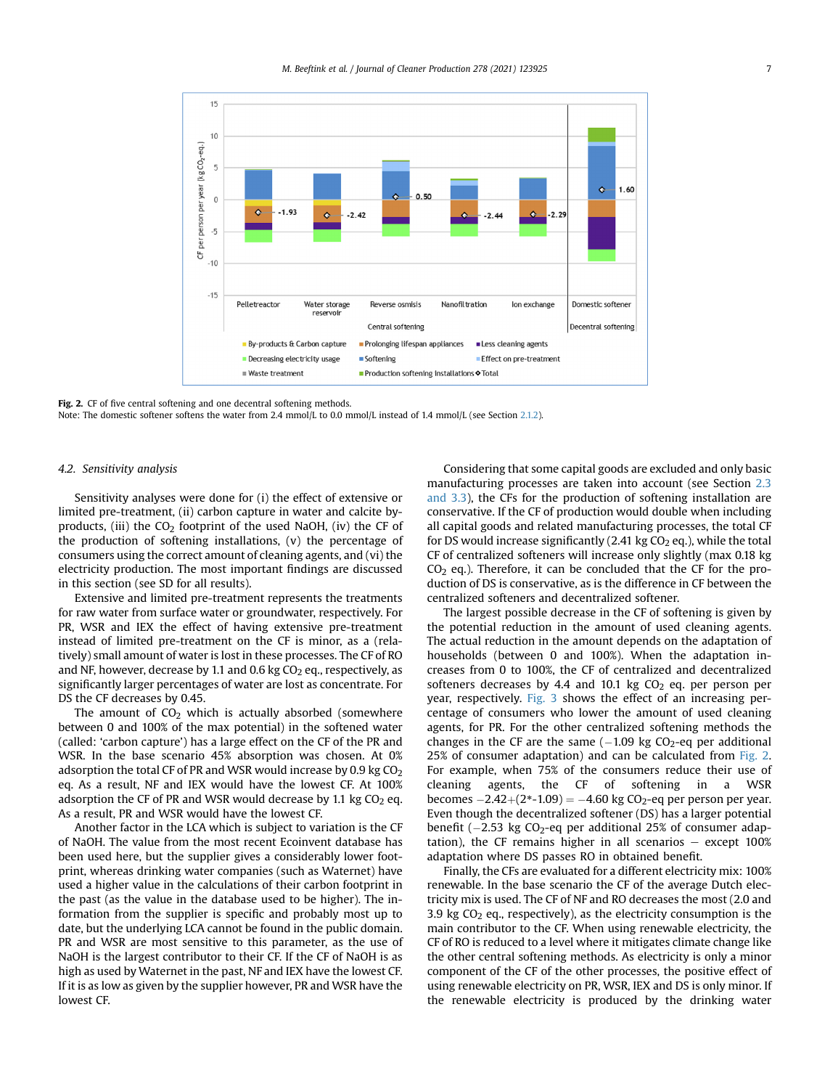<span id="page-6-1"></span>

Fig. 2. CF of five central softening and one decentral softening methods.

Note: The domestic softener softens the water from 2.4 mmol/L to 0.0 mmol/L instead of 1.4 mmol/L (see Section [2.1.2](#page-1-1)).

# <span id="page-6-0"></span>4.2. Sensitivity analysis

Sensitivity analyses were done for (i) the effect of extensive or limited pre-treatment, (ii) carbon capture in water and calcite byproducts, (iii) the  $CO<sub>2</sub>$  footprint of the used NaOH, (iv) the CF of the production of softening installations, (v) the percentage of consumers using the correct amount of cleaning agents, and (vi) the electricity production. The most important findings are discussed in this section (see SD for all results).

Extensive and limited pre-treatment represents the treatments for raw water from surface water or groundwater, respectively. For PR, WSR and IEX the effect of having extensive pre-treatment instead of limited pre-treatment on the CF is minor, as a (relatively) small amount of water is lost in these processes. The CF of RO and NF, however, decrease by 1.1 and 0.6 kg  $CO<sub>2</sub>$  eq., respectively, as significantly larger percentages of water are lost as concentrate. For DS the CF decreases by 0.45.

The amount of  $CO<sub>2</sub>$  which is actually absorbed (somewhere between 0 and 100% of the max potential) in the softened water (called: 'carbon capture') has a large effect on the CF of the PR and WSR. In the base scenario 45% absorption was chosen. At 0% adsorption the total CF of PR and WSR would increase by 0.9 kg  $CO<sub>2</sub>$ eq. As a result, NF and IEX would have the lowest CF. At 100% adsorption the CF of PR and WSR would decrease by 1.1 kg  $CO<sub>2</sub>$  eq. As a result, PR and WSR would have the lowest CF.

Another factor in the LCA which is subject to variation is the CF of NaOH. The value from the most recent Ecoinvent database has been used here, but the supplier gives a considerably lower footprint, whereas drinking water companies (such as Waternet) have used a higher value in the calculations of their carbon footprint in the past (as the value in the database used to be higher). The information from the supplier is specific and probably most up to date, but the underlying LCA cannot be found in the public domain. PR and WSR are most sensitive to this parameter, as the use of NaOH is the largest contributor to their CF. If the CF of NaOH is as high as used by Waternet in the past, NF and IEX have the lowest CF. If it is as low as given by the supplier however, PR and WSR have the lowest CF.

Considering that some capital goods are excluded and only basic manufacturing processes are taken into account (see Section [2.3](#page-2-3) [and 3.3](#page-2-3)), the CFs for the production of softening installation are conservative. If the CF of production would double when including all capital goods and related manufacturing processes, the total CF for DS would increase significantly  $(2.41 \text{ kg } CO<sub>2</sub>)$  eq.), while the total CF of centralized softeners will increase only slightly (max 0.18 kg  $CO<sub>2</sub>$  eq.). Therefore, it can be concluded that the CF for the production of DS is conservative, as is the difference in CF between the centralized softeners and decentralized softener.

The largest possible decrease in the CF of softening is given by the potential reduction in the amount of used cleaning agents. The actual reduction in the amount depends on the adaptation of households (between 0 and 100%). When the adaptation increases from 0 to 100%, the CF of centralized and decentralized softeners decreases by 4.4 and 10.1 kg  $CO<sub>2</sub>$  eq. per person per year, respectively. [Fig. 3](#page-7-0) shows the effect of an increasing percentage of consumers who lower the amount of used cleaning agents, for PR. For the other centralized softening methods the changes in the CF are the same  $(-1.09 \text{ kg } CO<sub>2</sub>-eq$  per additional 25% of consumer adaptation) and can be calculated from [Fig. 2.](#page-6-1) For example, when 75% of the consumers reduce their use of cleaning agents, the CF of softening in a WSR becomes  $-2.42+(2*-1.09) = -4.60$  kg CO<sub>2</sub>-eq per person per year. Even though the decentralized softener (DS) has a larger potential benefit ( $-2.53$  kg CO<sub>2</sub>-eq per additional 25% of consumer adaptation), the CF remains higher in all scenarios  $-$  except 100% adaptation where DS passes RO in obtained benefit.

Finally, the CFs are evaluated for a different electricity mix: 100% renewable. In the base scenario the CF of the average Dutch electricity mix is used. The CF of NF and RO decreases the most (2.0 and 3.9 kg  $CO<sub>2</sub>$  eq., respectively), as the electricity consumption is the main contributor to the CF. When using renewable electricity, the CF of RO is reduced to a level where it mitigates climate change like the other central softening methods. As electricity is only a minor component of the CF of the other processes, the positive effect of using renewable electricity on PR, WSR, IEX and DS is only minor. If the renewable electricity is produced by the drinking water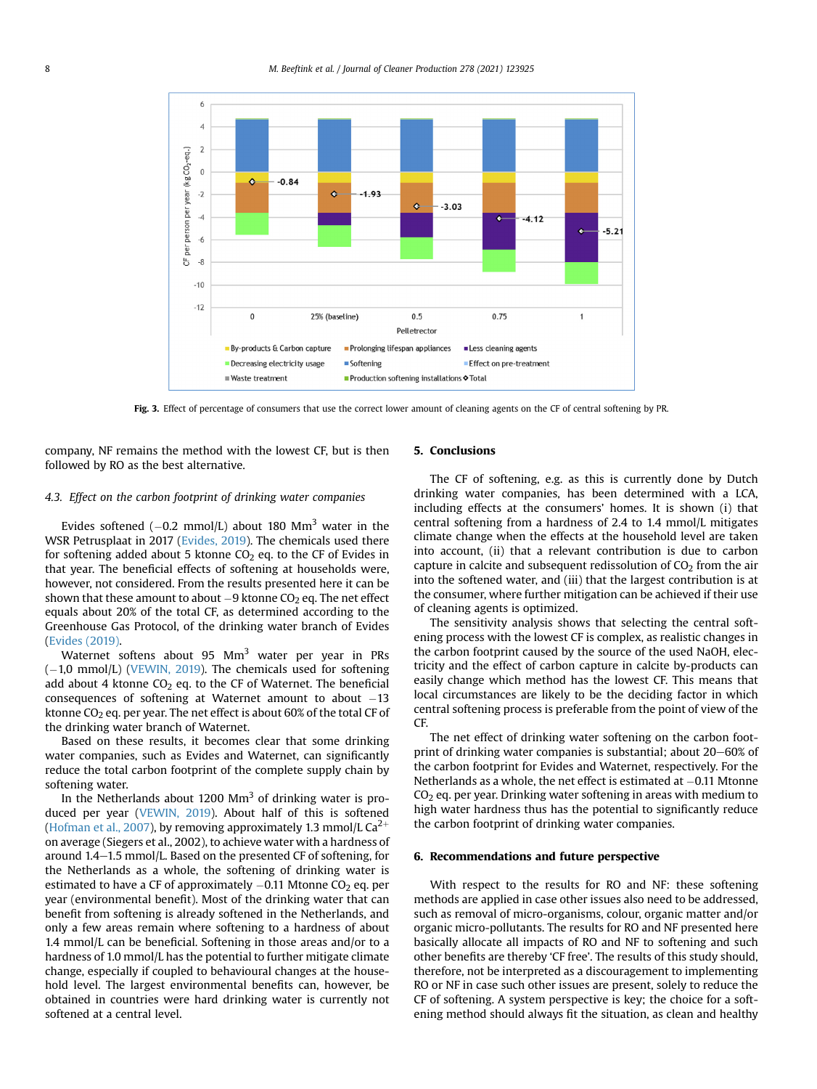<span id="page-7-0"></span>

Fig. 3. Effect of percentage of consumers that use the correct lower amount of cleaning agents on the CF of central softening by PR.

company, NF remains the method with the lowest CF, but is then followed by RO as the best alternative.

#### 4.3. Effect on the carbon footprint of drinking water companies

Evides softened  $(-0.2 \text{ mmol/L})$  about 180 Mm<sup>3</sup> water in the WSR Petrusplaat in 2017 [\(Evides, 2019](#page-8-17)). The chemicals used there for softening added about 5 ktonne  $CO<sub>2</sub>$  eq. to the CF of Evides in that year. The beneficial effects of softening at households were, however, not considered. From the results presented here it can be shown that these amount to about  $-9$  ktonne CO<sub>2</sub> eq. The net effect equals about 20% of the total CF, as determined according to the Greenhouse Gas Protocol, of the drinking water branch of Evides ([Evides \(2019\).](#page-8-17)

Waternet softens about 95 Mm<sup>3</sup> water per year in PRs  $(-1,0 \text{ mmol/L})$  [\(VEWIN, 2019](#page-9-4)). The chemicals used for softening add about 4 ktonne  $CO<sub>2</sub>$  eq. to the CF of Waternet. The beneficial consequences of softening at Waternet amount to about  $-13$ ktonne  $CO<sub>2</sub>$  eq. per year. The net effect is about 60% of the total CF of the drinking water branch of Waternet.

Based on these results, it becomes clear that some drinking water companies, such as Evides and Waternet, can significantly reduce the total carbon footprint of the complete supply chain by softening water.

In the Netherlands about 1200  $\text{Mm}^3$  of drinking water is produced per year ([VEWIN, 2019\)](#page-9-4). About half of this is softened ([Hofman et al., 2007](#page-8-5)), by removing approximately 1.3 mmol/L  $Ca^{2+}$ on average (Siegers et al., 2002), to achieve water with a hardness of around  $1.4-1.5$  mmol/L. Based on the presented CF of softening, for the Netherlands as a whole, the softening of drinking water is estimated to have a CF of approximately  $-0.11$  Mtonne CO<sub>2</sub> eq. per year (environmental benefit). Most of the drinking water that can benefit from softening is already softened in the Netherlands, and only a few areas remain where softening to a hardness of about 1.4 mmol/L can be beneficial. Softening in those areas and/or to a hardness of 1.0 mmol/L has the potential to further mitigate climate change, especially if coupled to behavioural changes at the household level. The largest environmental benefits can, however, be obtained in countries were hard drinking water is currently not softened at a central level.

## 5. Conclusions

The CF of softening, e.g. as this is currently done by Dutch drinking water companies, has been determined with a LCA, including effects at the consumers' homes. It is shown (i) that central softening from a hardness of 2.4 to 1.4 mmol/L mitigates climate change when the effects at the household level are taken into account, (ii) that a relevant contribution is due to carbon capture in calcite and subsequent redissolution of  $CO<sub>2</sub>$  from the air into the softened water, and (iii) that the largest contribution is at the consumer, where further mitigation can be achieved if their use of cleaning agents is optimized.

The sensitivity analysis shows that selecting the central softening process with the lowest CF is complex, as realistic changes in the carbon footprint caused by the source of the used NaOH, electricity and the effect of carbon capture in calcite by-products can easily change which method has the lowest CF. This means that local circumstances are likely to be the deciding factor in which central softening process is preferable from the point of view of the CF.

The net effect of drinking water softening on the carbon footprint of drinking water companies is substantial; about  $20-60\%$  of the carbon footprint for Evides and Waternet, respectively. For the Netherlands as a whole, the net effect is estimated at  $-0.11$  Mtonne  $CO<sub>2</sub>$  eq. per year. Drinking water softening in areas with medium to high water hardness thus has the potential to significantly reduce the carbon footprint of drinking water companies.

## 6. Recommendations and future perspective

With respect to the results for RO and NF: these softening methods are applied in case other issues also need to be addressed, such as removal of micro-organisms, colour, organic matter and/or organic micro-pollutants. The results for RO and NF presented here basically allocate all impacts of RO and NF to softening and such other benefits are thereby 'CF free'. The results of this study should, therefore, not be interpreted as a discouragement to implementing RO or NF in case such other issues are present, solely to reduce the CF of softening. A system perspective is key; the choice for a softening method should always fit the situation, as clean and healthy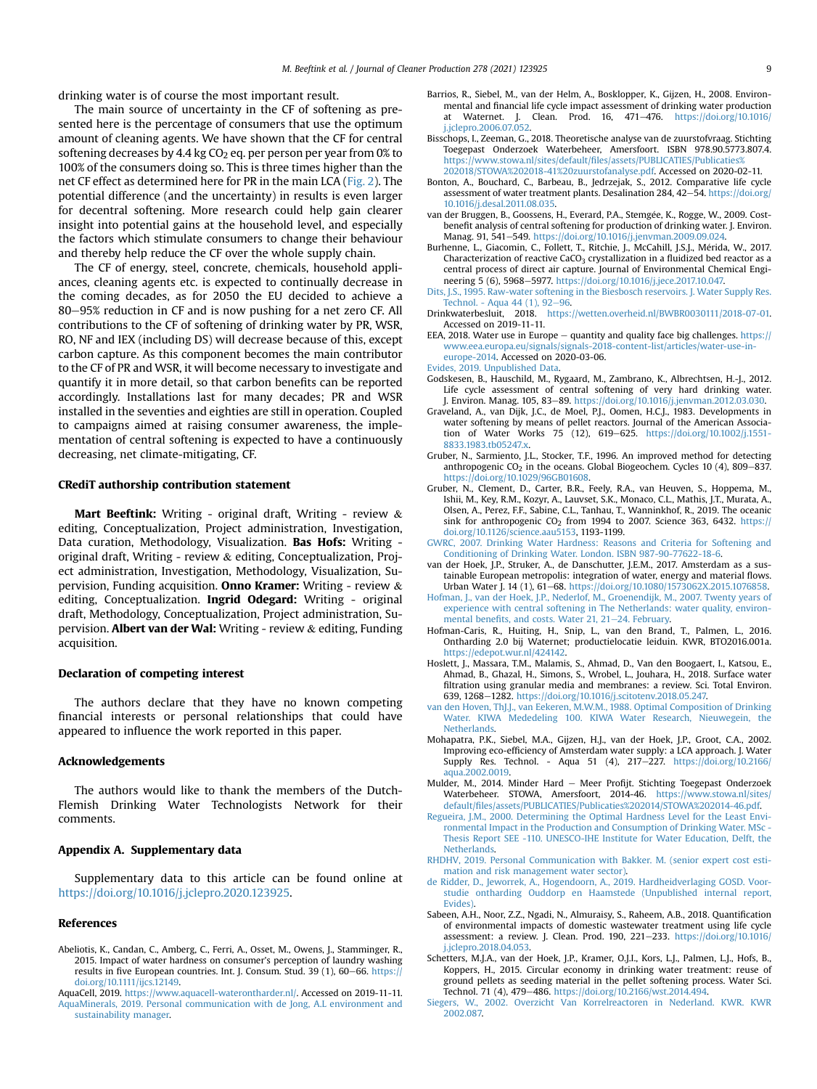drinking water is of course the most important result.

The main source of uncertainty in the CF of softening as presented here is the percentage of consumers that use the optimum amount of cleaning agents. We have shown that the CF for central softening decreases by 4.4 kg  $CO<sub>2</sub>$  eq. per person per year from 0% to 100% of the consumers doing so. This is three times higher than the net CF effect as determined here for PR in the main LCA [\(Fig. 2\)](#page-6-1). The potential difference (and the uncertainty) in results is even larger for decentral softening. More research could help gain clearer insight into potential gains at the household level, and especially the factors which stimulate consumers to change their behaviour and thereby help reduce the CF over the whole supply chain.

The CF of energy, steel, concrete, chemicals, household appliances, cleaning agents etc. is expected to continually decrease in the coming decades, as for 2050 the EU decided to achieve a 80–95% reduction in CF and is now pushing for a net zero CF. All contributions to the CF of softening of drinking water by PR, WSR, RO, NF and IEX (including DS) will decrease because of this, except carbon capture. As this component becomes the main contributor to the CF of PR and WSR, it will become necessary to investigate and quantify it in more detail, so that carbon benefits can be reported accordingly. Installations last for many decades; PR and WSR installed in the seventies and eighties are still in operation. Coupled to campaigns aimed at raising consumer awareness, the implementation of central softening is expected to have a continuously decreasing, net climate-mitigating, CF.

#### CRediT authorship contribution statement

Mart Beeftink: Writing - original draft, Writing - review  $\&$ editing, Conceptualization, Project administration, Investigation, Data curation, Methodology, Visualization. Bas Hofs: Writing original draft, Writing - review & editing, Conceptualization, Project administration, Investigation, Methodology, Visualization, Supervision, Funding acquisition. Onno Kramer: Writing - review & editing, Conceptualization. Ingrid Odegard: Writing - original draft, Methodology, Conceptualization, Project administration, Supervision. Albert van der Wal: Writing - review & editing, Funding acquisition.

#### Declaration of competing interest

The authors declare that they have no known competing financial interests or personal relationships that could have appeared to influence the work reported in this paper.

#### Acknowledgements

The authors would like to thank the members of the Dutch-Flemish Drinking Water Technologists Network for their comments.

## Appendix A. Supplementary data

Supplementary data to this article can be found online at <https://doi.org/10.1016/j.jclepro.2020.123925>.

#### References

- <span id="page-8-3"></span>Abeliotis, K., Candan, C., Amberg, C., Ferri, A., Osset, M., Owens, J., Stamminger, R., 2015. Impact of water hardness on consumer's perception of laundry washing results in five European countries. Int. J. Consum. Stud. 39 (1), 60-66. [https://](https://doi.org/10.1111/ijcs.12149) [doi.org/10.1111/ijcs.12149](https://doi.org/10.1111/ijcs.12149).
- <span id="page-8-23"></span><span id="page-8-21"></span>AquaCell, 2019. <https://www.aquacell-waterontharder.nl/>. Accessed on 2019-11-11. [AquaMinerals, 2019. Personal communication with de Jong, A.L environment and](http://refhub.elsevier.com/S0959-6526(20)33970-6/sref4) [sustainability manager.](http://refhub.elsevier.com/S0959-6526(20)33970-6/sref4)
- <span id="page-8-8"></span>Barrios, R., Siebel, M., van der Helm, A., Bosklopper, K., Gijzen, H., 2008. Environmental and financial life cycle impact assessment of drinking water production at Waternet. J. Clean. Prod. 16, 471-476. [https://doi.org/10.1016/](https://doi.org/10.1016/j.jclepro.2006.07.052) [j.jclepro.2006.07.052](https://doi.org/10.1016/j.jclepro.2006.07.052).
- <span id="page-8-28"></span>Bisschops, I., Zeeman, G., 2018. Theoretische analyse van de zuurstofvraag. Stichting Toegepast Onderzoek Waterbeheer, Amersfoort. ISBN 978.90.5773.807.4. https://www.stowa.nl/sites/default/fi[les/assets/PUBLICATIES/Publicaties%](https://www.stowa.nl/sites/default/files/assets/PUBLICATIES/Publicaties%202018/STOWA%202018-41%20zuurstofanalyse.pdf) [202018/STOWA%202018-41%20zuurstofanalyse.pdf.](https://www.stowa.nl/sites/default/files/assets/PUBLICATIES/Publicaties%202018/STOWA%202018-41%20zuurstofanalyse.pdf) Accessed on 2020-02-11.
- <span id="page-8-20"></span>Bonton, A., Bouchard, C., Barbeau, B., Jedrzejak, S., 2012. Comparative life cycle assessment of water treatment plants. Desalination 284, 42-54. [https://doi.org/](https://doi.org/10.1016/j.desal.2011.08.035) [10.1016/j.desal.2011.08.035](https://doi.org/10.1016/j.desal.2011.08.035).
- <span id="page-8-2"></span>van der Bruggen, B., Goossens, H., Everard, P.A., Stemgee, K., Rogge, W., 2009. Cost benefit analysis of central softening for production of drinking water. J. Environ. Manag. 91, 541-549. <https://doi.org/10.1016/j.jenvman.2009.09.024>.
- <span id="page-8-24"></span>Burhenne, L., Giacomin, C., Follett, T., Ritchie, J., McCahill, J.S.J., Merida, W., 2017. Characterization of reactive CaCO<sub>3</sub> crystallization in a fluidized bed reactor as a central process of direct air capture. Journal of Environmental Chemical Engineering 5 (6), 5968-5977. [https://doi.org/10.1016/j.jece.2017.10.047.](https://doi.org/10.1016/j.jece.2017.10.047)
- <span id="page-8-22"></span>[Dits, J.S., 1995. Raw-water softening in the Biesbosch reservoirs. J. Water Supply Res.](http://refhub.elsevier.com/S0959-6526(20)33970-6/sref10) Technol. - Aqua 44  $(1)$ , 92-[96.](http://refhub.elsevier.com/S0959-6526(20)33970-6/sref10)
- <span id="page-8-6"></span>Drinkwaterbesluit, 2018. [https://wetten.overheid.nl/BWBR0030111/2018-07-01.](https://wetten.overheid.nl/BWBR0030111/2018-07-01) Accessed on 2019-11-11.
- <span id="page-8-14"></span>EEA, 2018. Water use in Europe  $-$  quantity and quality face big challenges. [https://](https://www.eea.europa.eu/signals/signals-2018-content-list/articles/water-use-in-europe-2014) [www.eea.europa.eu/signals/signals-2018-content-list/articles/water-use-in](https://www.eea.europa.eu/signals/signals-2018-content-list/articles/water-use-in-europe-2014)[europe-2014.](https://www.eea.europa.eu/signals/signals-2018-content-list/articles/water-use-in-europe-2014) Accessed on 2020-03-06.

<span id="page-8-17"></span>[Evides, 2019. Unpublished Data](http://refhub.elsevier.com/S0959-6526(20)33970-6/sref13).

- <span id="page-8-11"></span>Godskesen, B., Hauschild, M., Rygaard, M., Zambrano, K., Albrechtsen, H.-J., 2012. Life cycle assessment of central softening of very hard drinking water. J. Environ. Manag. 105, 83-89. [https://doi.org/10.1016/j.jenvman.2012.03.030.](https://doi.org/10.1016/j.jenvman.2012.03.030)
- <span id="page-8-4"></span>Graveland, A., van Dijk, J.C., de Moel, P.J., Oomen, H.C.J., 1983. Developments in water softening by means of pellet reactors. Journal of the American Association of Water Works 75 (12), 619-625. [https://doi.org/10.1002/j.1551-](https://doi.org/10.1002/j.1551-8833.1983.tb05247.x) [8833.1983.tb05247.x](https://doi.org/10.1002/j.1551-8833.1983.tb05247.x).
- <span id="page-8-25"></span>Gruber, N., Sarmiento, J.L., Stocker, T.F., 1996. An improved method for detecting anthropogenic  $CO<sub>2</sub>$  in the oceans. Global Biogeochem. Cycles 10 (4), 809-837. <https://doi.org/10.1029/96GB01608>.
- <span id="page-8-26"></span>Gruber, N., Clement, D., Carter, B.R., Feely, R.A., van Heuven, S., Hoppema, M., Ishii, M., Key, R.M., Kozyr, A., Lauvset, S.K., Monaco, C.L., Mathis, J.T., Murata, A., Olsen, A., Perez, F.F., Sabine, C.L., Tanhau, T., Wanninkhof, R., 2019. The oceanic sink for anthropogenic  $CO<sub>2</sub>$  from 1994 to 2007. Science 363, 6432. [https://](https://doi.org/10.1126/science.aau5153) [doi.org/10.1126/science.aau5153](https://doi.org/10.1126/science.aau5153), 1193-1199.
- <span id="page-8-0"></span>[GWRC, 2007. Drinking Water Hardness: Reasons and Criteria for Softening and](http://refhub.elsevier.com/S0959-6526(20)33970-6/sref19) [Conditioning of Drinking Water. London. ISBN 987-90-77622-18-6](http://refhub.elsevier.com/S0959-6526(20)33970-6/sref19).
- <span id="page-8-13"></span>van der Hoek, J.P., Struker, A., de Danschutter, J.E.M., 2017. Amsterdam as a sustainable European metropolis: integration of water, energy and material flows. Urban Water J. 14 (1), 61-68. [https://doi.org/10.1080/1573062X.2015.1076858.](https://doi.org/10.1080/1573062X.2015.1076858)
- <span id="page-8-5"></span>[Hofman, J., van der Hoek, J.P., Nederlof, M., Groenendijk, M., 2007. Twenty years of](http://refhub.elsevier.com/S0959-6526(20)33970-6/sref21) [experience with central softening in The Netherlands: water quality, environ](http://refhub.elsevier.com/S0959-6526(20)33970-6/sref21)mental benefi[ts, and costs. Water 21, 21](http://refhub.elsevier.com/S0959-6526(20)33970-6/sref21)-[24. February](http://refhub.elsevier.com/S0959-6526(20)33970-6/sref21).
- <span id="page-8-19"></span>Hofman-Caris, R., Huiting, H., Snip, L., van den Brand, T., Palmen, L., 2016. Ontharding 2.0 bij Waternet; productielocatie leiduin. KWR, BTO2016.001a. [https://edepot.wur.nl/424142.](https://edepot.wur.nl/424142)
- <span id="page-8-16"></span>Hoslett, J., Massara, T.M., Malamis, S., Ahmad, D., Van den Boogaert, I., Katsou, E., Ahmad, B., Ghazal, H., Simons, S., Wrobel, L., Jouhara, H., 2018. Surface water filtration using granular media and membranes: a review. Sci. Total Environ. 639, 1268-1282. [https://doi.org/10.1016/j.scitotenv.2018.05.247.](https://doi.org/10.1016/j.scitotenv.2018.05.247)
- <span id="page-8-1"></span>[van den Hoven, ThJ.J., van Eekeren, M.W.M., 1988. Optimal Composition of Drinking](http://refhub.elsevier.com/S0959-6526(20)33970-6/sref24) [Water. KIWA Mededeling 100. KIWA Water Research, Nieuwegein, the](http://refhub.elsevier.com/S0959-6526(20)33970-6/sref24) [Netherlands](http://refhub.elsevier.com/S0959-6526(20)33970-6/sref24).
- <span id="page-8-7"></span>Mohapatra, P.K., Siebel, M.A., Gijzen, H.J., van der Hoek, J.P., Groot, C.A., 2002. Improving eco-efficiency of Amsterdam water supply: a LCA approach. J. Water Supply Res. Technol. - Aqua 51 (4), 217-227. [https://doi.org/10.2166/](https://doi.org/10.2166/aqua.2002.0019) [aqua.2002.0019](https://doi.org/10.2166/aqua.2002.0019).
- <span id="page-8-12"></span>Mulder, M., 2014. Minder Hard - Meer Profijt. Stichting Toegepast Onderzoek Waterbeheer. STOWA, Amersfoort, 2014-46. [https://www.stowa.nl/sites/](https://www.stowa.nl/sites/default/files/assets/PUBLICATIES/Publicaties%202014/STOWA%202014-46.pdf) default/fi[les/assets/PUBLICATIES/Publicaties%202014/STOWA%202014-46.pdf](https://www.stowa.nl/sites/default/files/assets/PUBLICATIES/Publicaties%202014/STOWA%202014-46.pdf).
- <span id="page-8-10"></span>[Regueira, J.M., 2000. Determining the Optimal Hardness Level for the Least Envi](http://refhub.elsevier.com/S0959-6526(20)33970-6/sref27)[ronmental Impact in the Production and Consumption of Drinking Water. MSc -](http://refhub.elsevier.com/S0959-6526(20)33970-6/sref27) [Thesis Report SEE -110. UNESCO-IHE Institute for Water Education, Delft, the](http://refhub.elsevier.com/S0959-6526(20)33970-6/sref27) [Netherlands](http://refhub.elsevier.com/S0959-6526(20)33970-6/sref27).
- <span id="page-8-27"></span>[RHDHV, 2019. Personal Communication with Bakker. M. \(senior expert cost esti](http://refhub.elsevier.com/S0959-6526(20)33970-6/sref28)[mation and risk management water sector\)](http://refhub.elsevier.com/S0959-6526(20)33970-6/sref28).
- <span id="page-8-18"></span>Ridder, D., Jeworrek, A., Hogendoorn, A., 2019. Hardheidverlaging GOSD. Voor[studie ontharding Ouddorp en Haamstede \(Unpublished internal report,](http://refhub.elsevier.com/S0959-6526(20)33970-6/sref29) [Evides\)](http://refhub.elsevier.com/S0959-6526(20)33970-6/sref29)
- <span id="page-8-29"></span>Sabeen, A.H., Noor, Z.Z., Ngadi, N., Almuraisy, S., Raheem, A.B., 2018. Quantification of environmental impacts of domestic wastewater treatment using life cycle assessment: a review. J. Clean. Prod. 190, 221-233. [https://doi.org/10.1016/](https://doi.org/10.1016/j.jclepro.2018.04.053) [j.jclepro.2018.04.053.](https://doi.org/10.1016/j.jclepro.2018.04.053)
- <span id="page-8-9"></span>Schetters, M.J.A., van der Hoek, J.P., Kramer, O.J.I., Kors, L.J., Palmen, L.J., Hofs, B., Koppers, H., 2015. Circular economy in drinking water treatment: reuse of ground pellets as seeding material in the pellet softening process. Water Sci. Technol. 71 (4), 479-486. <https://doi.org/10.2166/wst.2014.494>.
- <span id="page-8-15"></span>[Siegers, W., 2002. Overzicht Van Korrelreactoren in Nederland. KWR. KWR](http://refhub.elsevier.com/S0959-6526(20)33970-6/sref32) [2002.087.](http://refhub.elsevier.com/S0959-6526(20)33970-6/sref32)